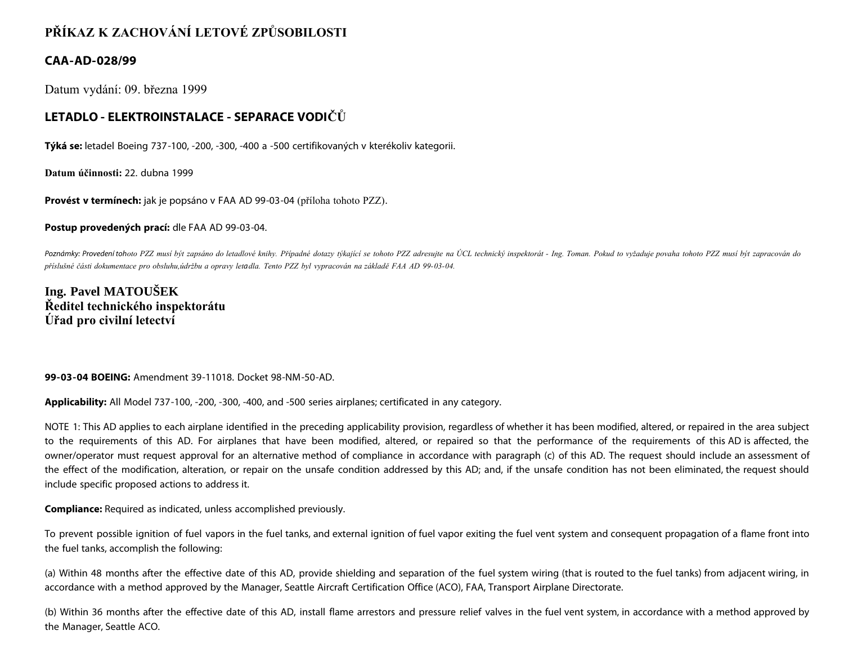# **PŘÍKAZ K ZACHOVÁNÍ LETOVÉ ZPŮSOBILOSTI**

### **CAA-AD-028/99**

Datum vydání: 09. března 1999

### **LETADLO - ELEKTROINSTALACE - SEPARACE VODIČŮ**

**Týká se:** letadel Boeing 737-100, -200, -300, -400 a -500 certifikovaných v kterékoliv kategorii.

**Datum účinnosti:** 22. dubna 1999

**Provést v termínech:** jak je popsáno v FAA AD 99-03-04 (příloha tohoto PZZ).

**Postup provedených prací:** dle FAA AD 99-03-04.

Poznámky: Provedení tohoto PZZ musí být zapsáno do letadlové knihy. Případné dotazy týkající se tohoto PZZ adresujte na ÚCL technický inspektorát - Ing. Toman. Pokud to vyžaduje povaha tohoto PZZ musí být zapracován do *příslušné části dokumentace pro obsluhu,údržbu a opravy letadla. Tento PZZ byl vypracován na základě FAA AD 99-03-04.*

## **Ing. Pavel MATOUŠEK Ředitel technického inspektorátu Úřad pro civilní letectví**

#### **99-03-04 BOEING:** Amendment 39-11018. Docket 98-NM-50-AD.

**Applicability:** All Model 737-100, -200, -300, -400, and -500 series airplanes; certificated in any category.

NOTE 1: This AD applies to each airplane identified in the preceding applicability provision, regardless of whether it has been modified, altered, or repaired in the area subject to the requirements of this AD. For airplanes that have been modified, altered, or repaired so that the performance of the requirements of this AD is affected, the owner/operator must request approval for an alternative method of compliance in accordance with paragraph (c) of this AD. The request should include an assessment of the effect of the modification, alteration, or repair on the unsafe condition addressed by this AD; and, if the unsafe condition has not been eliminated, the request should include specific proposed actions to address it.

**Compliance:** Required as indicated, unless accomplished previously.

To prevent possible ignition of fuel vapors in the fuel tanks, and external ignition of fuel vapor exiting the fuel vent system and consequent propagation of a flame front into the fuel tanks, accomplish the following:

(a) Within 48 months after the effective date of this AD, provide shielding and separation of the fuel system wiring (that is routed to the fuel tanks) from adjacent wiring, in accordance with a method approved by the Manager, Seattle Aircraft Certification Office (ACO), FAA, Transport Airplane Directorate.

(b) Within 36 months after the effective date of this AD, install flame arrestors and pressure relief valves in the fuel vent system, in accordance with a method approved by the Manager, Seattle ACO.